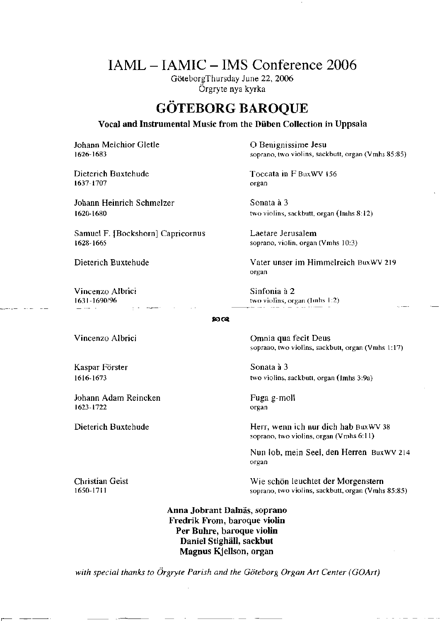## IAML - IAMIC - IMS Conference 2006

GöteborgThursday June 22, 2006 Örgryte nya kyrka

## **GÖTEBORG BAROQUE**

**Vocal and Instrumental Music from the Düben Collection in Uppsala**

**Johann Melchior Gletle 1 8 Community Community Community Denignissime Jesu** 

1637-1707

Johann Heinrich Schmelzer Sonata à 3

Samuel F. **[Bockshorn] Capricornus** Laetare Jerusalem 1628-1665 soprano, violin, organ (Vmhs 10:3)

Vincenzo Albrici 1631-1690/96

1626-1683 soprano, two violins, sackbutt, organ (Vmhs 85:85)

Dieterich Buxtehude **Toccata in** F **BuxWV** 156 organ

1620-1680 two violins, sackbutt, organ (Imhs 8:12)

Dieterich Buxtehude Vater unser im Himmelreich BuxWV 219 organ

> Sinfonia ä 2 two violins, organ (Imhs 1:2)

## **IOC«**

Kaspar Forster 1616-1673

Johann Adam Reincken I623-1722

Vincenzo Albrici Ornnia qua fecit Deus soprano, two violins, sackbutt, organ (Vmhs 1:17)

> **Sonata a 3** two violins, sackbutt, organ (Imhs 3:9a)

Fuga g-moll organ

Dieterich Buxtehude Herr, wenn ich nur dich hab BusWV 38 soprano, two violins, organ (Vmhs 6:1 1)

> Nun lob, mein Seel, den Herren BuxWV 214 organ

Christian Geist Wie schön leuchtet **der Morgenstern** soprano, two violins, sackbutt, organ (Vmhs 85:85)

> **Anna Jobrant Dalnäs, soprano Fredrik From, baroque violin Per Buhre, baroque violin Daniel Stighäll, sackbut Magnus Kjellson, organ**

*with special thanks to Örgryte Parish and the Göteborg Organ Art Center (GOArt)*